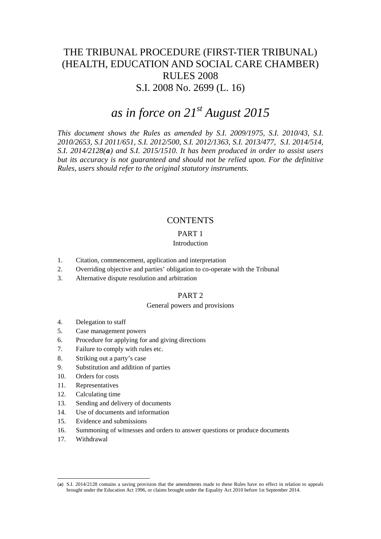# THE TRIBUNAL PROCEDURE (FIRST-TIER TRIBUNAL) (HEALTH, EDUCATION AND SOCIAL CARE CHAMBER) RULES 2008 S.I. 2008 No. 2699 (L. 16)

# *as in force on 21st August 2015*

*This document shows the Rules as amended by S.I. 2009/1975, S.I. 2010/43, S.I. 2010/2653, S.I 2011/651, S.I. 2012/500, S.I. 2012/1363, S.I. 2013/477, S.I. 2014/514, S.I. 2014/2128([a](#page-0-0)) and S.I. 2015/1510. It has been produced in order to assist users but its accuracy is not guaranteed and should not be relied upon. For the definitive Rules, users should refer to the original statutory instruments.*

# **CONTENTS**

# PART 1

# Introduction

- 1. Citation, commencement, application and interpretation
- 2. Overriding objective and parties' obligation to co-operate with the Tribunal
- 3. Alternative dispute resolution and arbitration

# PART 2

# General powers and provisions

- 4. Delegation to staff
- 5. Case management powers
- 6. Procedure for applying for and giving directions
- 7. Failure to comply with rules etc.
- 8. Striking out a party's case
- 9. Substitution and addition of parties
- 10. Orders for costs
- 11. Representatives
- 12. Calculating time
- 13. Sending and delivery of documents
- 14. Use of documents and information
- 15. Evidence and submissions
- 16. Summoning of witnesses and orders to answer questions or produce documents
- 17. Withdrawal

<span id="page-0-0"></span><sup>(</sup>**a**) S.I. 2014/2128 contains a saving provision that the amendments made to these Rules have no effect in relation to appeals brought under the Education Act 1996, or claims brought under the Equality Act 2010 before 1st September 2014.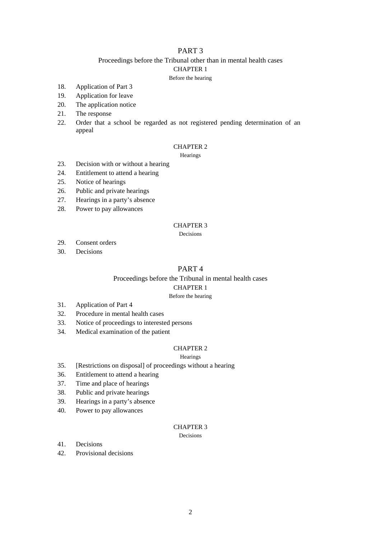# PART 3

# Proceedings before the Tribunal other than in mental health cases CHAPTER 1

Before the hearing

- 18. Application of Part 3
- 19. Application for leave
- 20. The application notice
- 21. The response
- 22. Order that a school be regarded as not registered pending determination of an appeal

# CHAPTER 2

**Hearings** 

- 23. Decision with or without a hearing
- 24. Entitlement to attend a hearing
- 25. Notice of hearings
- 26. Public and private hearings
- 27. Hearings in a party's absence
- 28. Power to pay allowances

# CHAPTER 3

Decisions

- 29. Consent orders
- 30. Decisions

# PART 4

### Proceedings before the Tribunal in mental health cases

#### CHAPTER 1

#### Before the hearing

- 31. Application of Part 4
- 32. Procedure in mental health cases
- 33. Notice of proceedings to interested persons
- 34. Medical examination of the patient

# CHAPTER 2

#### **Hearings**

- 35. [Restrictions on disposal] of proceedings without a hearing
- 36. Entitlement to attend a hearing
- 37. Time and place of hearings
- 38. Public and private hearings
- 39. Hearings in a party's absence
- 40. Power to pay allowances

## CHAPTER 3

Decisions

- 41. Decisions
- 42. Provisional decisions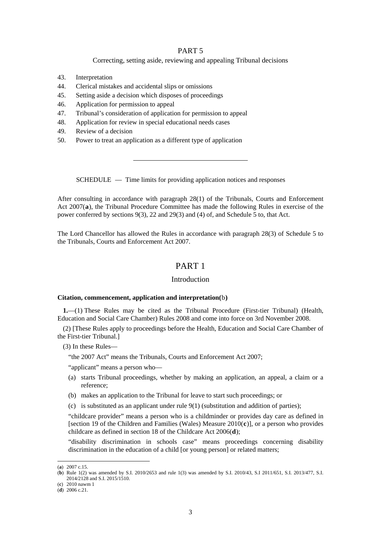# PART 5

# Correcting, setting aside, reviewing and appealing Tribunal decisions

- 43. Interpretation
- 44. Clerical mistakes and accidental slips or omissions
- 45. Setting aside a decision which disposes of proceedings
- 46. Application for permission to appeal
- 47. Tribunal's consideration of application for permission to appeal
- 48. Application for review in special educational needs cases
- 49. Review of a decision
- 50. Power to treat an application as a different type of application

SCHEDULE — Time limits for providing application notices and responses

After consulting in accordance with paragraph 28(1) of the Tribunals, Courts and Enforcement Act 2007(**[a](#page-2-0)**), the Tribunal Procedure Committee has made the following Rules in exercise of the power conferred by sections 9(3), 22 and 29(3) and (4) of, and Schedule 5 to, that Act.

The Lord Chancellor has allowed the Rules in accordance with paragraph 28(3) of Schedule 5 to the Tribunals, Courts and Enforcement Act 2007.

# PART 1

### Introduction

#### **Citation, commencement, application and interpretation(**[b](#page-2-1)**)**

**1.**—(1) These Rules may be cited as the Tribunal Procedure (First-tier Tribunal) (Health, Education and Social Care Chamber) Rules 2008 and come into force on 3rd November 2008.

(2) [These Rules apply to proceedings before the Health, Education and Social Care Chamber of the First-tier Tribunal.]

(3) In these Rules—

"the 2007 Act" means the Tribunals, Courts and Enforcement Act 2007;

"applicant" means a person who—

- (a) starts Tribunal proceedings, whether by making an application, an appeal, a claim or a reference;
- (b) makes an application to the Tribunal for leave to start such proceedings; or
- (c) is substituted as an applicant under rule  $9(1)$  (substitution and addition of parties);

"childcare provider" means a person who is a childminder or provides day care as defined in [section 19 of the Children and Families (Wales) Measure 2010(**[c](#page-2-2)**)], or a person who provides childcare as defined in section 18 of the Childcare Act 2006(**[d](#page-2-3)**);

"disability discrimination in schools case" means proceedings concerning disability discrimination in the education of a child [or young person] or related matters;

<span id="page-2-0"></span><sup>(</sup>**a**) 2007 c.15.

<span id="page-2-1"></span><sup>(</sup>**b**) Rule 1(2) was amended by S.I. 2010/2653 and rule 1(3) was amended by S.I. 2010/43, S.I 2011/651, S.I. 2013/477, S.I. 2014/2128 and S.I. 2015/1510.

<span id="page-2-2"></span><sup>(</sup>**c**) 2010 nawm 1

<span id="page-2-3"></span><sup>(</sup>**d**) 2006 c.21.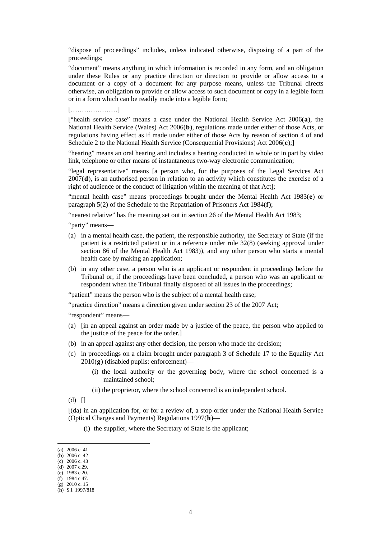"dispose of proceedings" includes, unless indicated otherwise, disposing of a part of the proceedings;

"document" means anything in which information is recorded in any form, and an obligation under these Rules or any practice direction or direction to provide or allow access to a document or a copy of a document for any purpose means, unless the Tribunal directs otherwise, an obligation to provide or allow access to such document or copy in a legible form or in a form which can be readily made into a legible form;

[…………………]

["health service case" means a case under the National Health Service Act 2006(**[a](#page-3-0)**), the National Health Service (Wales) Act 2006(**[b](#page-3-1)**), regulations made under either of those Acts, or regulations having effect as if made under either of those Acts by reason of section 4 of and Schedule 2 to the National Health Service (Consequential Provisions) Act 2006(**[c](#page-3-2)**);]

"hearing" means an oral hearing and includes a hearing conducted in whole or in part by video link, telephone or other means of instantaneous two-way electronic communication;

"legal representative" means [a person who, for the purposes of the Legal Services Act 2007(**[d](#page-3-3)**), is an authorised person in relation to an activity which constitutes the exercise of a right of audience or the conduct of litigation within the meaning of that Act];

"mental health case" means proceedings brought under the Mental Health Act 1983(**[e](#page-3-4)**) or paragraph 5(2) of the Schedule to the Repatriation of Prisoners Act 1984(**[f](#page-3-5)**);

"nearest relative" has the meaning set out in section 26 of the Mental Health Act 1983;

"party" means—

- (a) in a mental health case, the patient, the responsible authority, the Secretary of State (if the patient is a restricted patient or in a reference under rule 32(8) (seeking approval under section 86 of the Mental Health Act 1983)), and any other person who starts a mental health case by making an application;
- (b) in any other case, a person who is an applicant or respondent in proceedings before the Tribunal or, if the proceedings have been concluded, a person who was an applicant or respondent when the Tribunal finally disposed of all issues in the proceedings;

"patient" means the person who is the subject of a mental health case;

"practice direction" means a direction given under section 23 of the 2007 Act;

"respondent" means—

- (a) [in an appeal against an order made by a justice of the peace, the person who applied to the justice of the peace for the order.]
- (b) in an appeal against any other decision, the person who made the decision;
- (c) in proceedings on a claim brought under paragraph 3 of Schedule 17 to the Equality Act 2010(**[g](#page-3-6)**) (disabled pupils: enforcement)—
	- (i) the local authority or the governing body, where the school concerned is a maintained school;
	- (ii) the proprietor, where the school concerned is an independent school.

 $(d)$   $\Box$ 

[(da) in an application for, or for a review of, a stop order under the National Health Service (Optical Charges and Payments) Regulations 1997(**[h](#page-3-7)**)—

(i) the supplier, where the Secretary of State is the applicant;

<sup>(</sup>**a**) 2006 c. 41

<span id="page-3-1"></span><span id="page-3-0"></span><sup>(</sup>**b**) 2006 c. 42 (**c**) 2006 c. 43

<span id="page-3-3"></span><span id="page-3-2"></span><sup>(</sup>**d**) 2007 c.29.

<span id="page-3-4"></span><sup>(</sup>**e**) 1983 c.20.

<span id="page-3-5"></span><sup>(</sup>**f**) 1984 c.47.

<sup>(</sup>**g**) 2010 c. 15

<span id="page-3-7"></span><span id="page-3-6"></span><sup>(</sup>**h**) S.I. 1997/818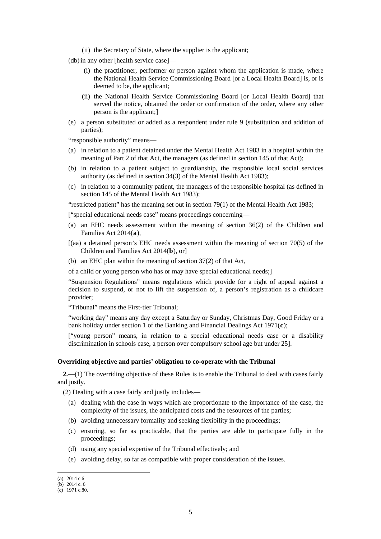- (ii) the Secretary of State, where the supplier is the applicant;
- (db) in any other [health service case]—
	- (i) the practitioner, performer or person against whom the application is made, where the National Health Service Commissioning Board [or a Local Health Board] is, or is deemed to be, the applicant;
	- (ii) the National Health Service Commissioning Board [or Local Health Board] that served the notice, obtained the order or confirmation of the order, where any other person is the applicant;]
- (e) a person substituted or added as a respondent under rule 9 (substitution and addition of parties);

"responsible authority" means—

- (a) in relation to a patient detained under the Mental Health Act 1983 in a hospital within the meaning of Part 2 of that Act, the managers (as defined in section 145 of that Act);
- (b) in relation to a patient subject to guardianship, the responsible local social services authority (as defined in section 34(3) of the Mental Health Act 1983);
- (c) in relation to a community patient, the managers of the responsible hospital (as defined in section 145 of the Mental Health Act 1983);

"restricted patient" has the meaning set out in section 79(1) of the Mental Health Act 1983;

["special educational needs case" means proceedings concerning—

- (a) an EHC needs assessment within the meaning of section 36(2) of the Children and Families Act 2014(**[a](#page-4-0)**),
- [(aa) a detained person's EHC needs assessment within the meaning of section 70(5) of the Children and Families Act 2014(**[b](#page-4-1)**), or]
- (b) an EHC plan within the meaning of section 37(2) of that Act,
- of a child or young person who has or may have special educational needs;]

"Suspension Regulations" means regulations which provide for a right of appeal against a decision to suspend, or not to lift the suspension of, a person's registration as a childcare provider;

"Tribunal" means the First-tier Tribunal;

"working day" means any day except a Saturday or Sunday, Christmas Day, Good Friday or a bank holiday under section 1 of the Banking and Financial Dealings Act 1971(**[c](#page-4-2)**);

["young person" means, in relation to a special educational needs case or a disability discrimination in schools case, a person over compulsory school age but under 25].

#### **Overriding objective and parties' obligation to co-operate with the Tribunal**

**2.**—(1) The overriding objective of these Rules is to enable the Tribunal to deal with cases fairly and justly.

(2) Dealing with a case fairly and justly includes—

- (a) dealing with the case in ways which are proportionate to the importance of the case, the complexity of the issues, the anticipated costs and the resources of the parties;
- (b) avoiding unnecessary formality and seeking flexibility in the proceedings;
- (c) ensuring, so far as practicable, that the parties are able to participate fully in the proceedings;
- (d) using any special expertise of the Tribunal effectively; and
- (e) avoiding delay, so far as compatible with proper consideration of the issues.

<span id="page-4-0"></span><sup>(</sup>**a**) 2014 c.6

<span id="page-4-1"></span><sup>(</sup>**b**) 2014 c. 6

<span id="page-4-2"></span><sup>(</sup>**c**) 1971 c.80.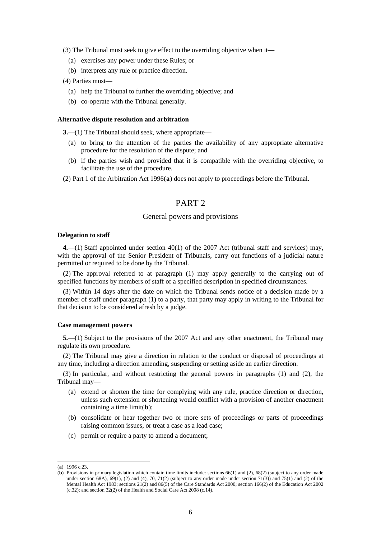(3) The Tribunal must seek to give effect to the overriding objective when it—

- (a) exercises any power under these Rules; or
- (b) interprets any rule or practice direction.

(4) Parties must—

- (a) help the Tribunal to further the overriding objective; and
- (b) co-operate with the Tribunal generally.

#### **Alternative dispute resolution and arbitration**

**3.**—(1) The Tribunal should seek, where appropriate—

- (a) to bring to the attention of the parties the availability of any appropriate alternative procedure for the resolution of the dispute; and
- (b) if the parties wish and provided that it is compatible with the overriding objective, to facilitate the use of the procedure.

(2) Part 1 of the Arbitration Act 1996(**[a](#page-5-0)**) does not apply to proceedings before the Tribunal.

# PART 2

### General powers and provisions

#### **Delegation to staff**

**4.**—(1) Staff appointed under section 40(1) of the 2007 Act (tribunal staff and services) may, with the approval of the Senior President of Tribunals, carry out functions of a judicial nature permitted or required to be done by the Tribunal.

(2) The approval referred to at paragraph (1) may apply generally to the carrying out of specified functions by members of staff of a specified description in specified circumstances.

(3) Within 14 days after the date on which the Tribunal sends notice of a decision made by a member of staff under paragraph (1) to a party, that party may apply in writing to the Tribunal for that decision to be considered afresh by a judge.

#### **Case management powers**

**5.**—(1) Subject to the provisions of the 2007 Act and any other enactment, the Tribunal may regulate its own procedure.

(2) The Tribunal may give a direction in relation to the conduct or disposal of proceedings at any time, including a direction amending, suspending or setting aside an earlier direction.

(3) In particular, and without restricting the general powers in paragraphs (1) and (2), the Tribunal may—

- (a) extend or shorten the time for complying with any rule, practice direction or direction, unless such extension or shortening would conflict with a provision of another enactment containing a time limit(**[b](#page-5-1)**);
- (b) consolidate or hear together two or more sets of proceedings or parts of proceedings raising common issues, or treat a case as a lead case;
- (c) permit or require a party to amend a document;

<span id="page-5-0"></span><sup>(</sup>**a**) 1996 c.23.

<span id="page-5-1"></span><sup>(</sup>**b**) Provisions in primary legislation which contain time limits include: sections 66(1) and (2), 68(2) (subject to any order made under section 68A), 69(1), (2) and (4), 70, 71(2) (subject to any order made under section 71(3)) and 75(1) and (2) of the Mental Health Act 1983; sections 21(2) and 86(5) of the Care Standards Act 2000; section 166(2) of the Education Act 2002 (c.32); and section 32(2) of the Health and Social Care Act 2008 (c.14).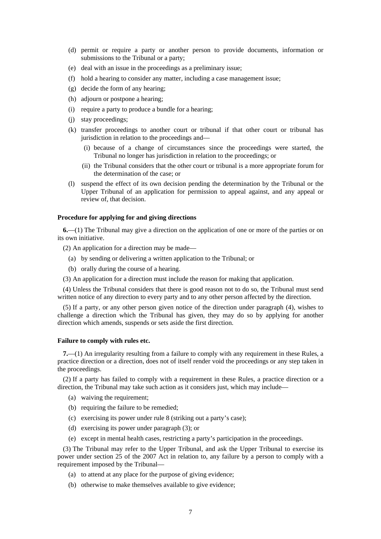- (d) permit or require a party or another person to provide documents, information or submissions to the Tribunal or a party;
- (e) deal with an issue in the proceedings as a preliminary issue;
- (f) hold a hearing to consider any matter, including a case management issue;
- (g) decide the form of any hearing;
- (h) adjourn or postpone a hearing;
- (i) require a party to produce a bundle for a hearing;
- (j) stay proceedings;
- (k) transfer proceedings to another court or tribunal if that other court or tribunal has jurisdiction in relation to the proceedings and—
	- (i) because of a change of circumstances since the proceedings were started, the Tribunal no longer has jurisdiction in relation to the proceedings; or
	- (ii) the Tribunal considers that the other court or tribunal is a more appropriate forum for the determination of the case; or
- (l) suspend the effect of its own decision pending the determination by the Tribunal or the Upper Tribunal of an application for permission to appeal against, and any appeal or review of, that decision.

#### **Procedure for applying for and giving directions**

**6.**—(1) The Tribunal may give a direction on the application of one or more of the parties or on its own initiative.

(2) An application for a direction may be made—

- (a) by sending or delivering a written application to the Tribunal; or
- (b) orally during the course of a hearing.
- (3) An application for a direction must include the reason for making that application.

(4) Unless the Tribunal considers that there is good reason not to do so, the Tribunal must send written notice of any direction to every party and to any other person affected by the direction.

(5) If a party, or any other person given notice of the direction under paragraph (4), wishes to challenge a direction which the Tribunal has given, they may do so by applying for another direction which amends, suspends or sets aside the first direction.

#### **Failure to comply with rules etc.**

**7.**—(1) An irregularity resulting from a failure to comply with any requirement in these Rules, a practice direction or a direction, does not of itself render void the proceedings or any step taken in the proceedings.

(2) If a party has failed to comply with a requirement in these Rules, a practice direction or a direction, the Tribunal may take such action as it considers just, which may include—

- (a) waiving the requirement;
- (b) requiring the failure to be remedied;
- (c) exercising its power under rule 8 (striking out a party's case);
- (d) exercising its power under paragraph (3); or
- (e) except in mental health cases, restricting a party's participation in the proceedings.

(3) The Tribunal may refer to the Upper Tribunal, and ask the Upper Tribunal to exercise its power under section 25 of the 2007 Act in relation to, any failure by a person to comply with a requirement imposed by the Tribunal—

- (a) to attend at any place for the purpose of giving evidence;
- (b) otherwise to make themselves available to give evidence;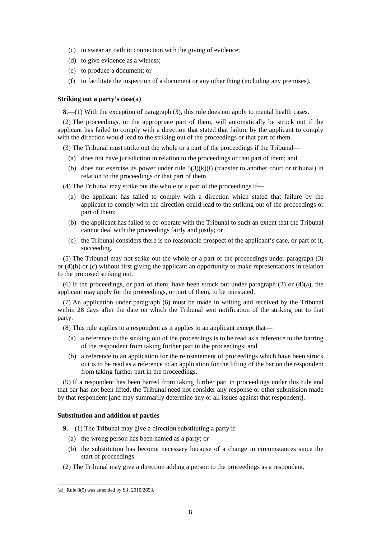- (c) to swear an oath in connection with the giving of evidence;
- (d) to give evidence as a witness;
- (e) to produce a document; or
- (f) to facilitate the inspection of a document or any other thing (including any premises).

#### **Striking out a party's case(**[a](#page-7-0)**)**

**8.**—(1) With the exception of paragraph (3), this rule does not apply to mental health cases.

(2) The proceedings, or the appropriate part of them, will automatically be struck out if the applicant has failed to comply with a direction that stated that failure by the applicant to comply with the direction would lead to the striking out of the proceedings or that part of them.

(3) The Tribunal must strike out the whole or a part of the proceedings if the Tribunal—

- (a) does not have jurisdiction in relation to the proceedings or that part of them; and
- (b) does not exercise its power under rule  $5(3)(k)(i)$  (transfer to another court or tribunal) in relation to the proceedings or that part of them.

(4) The Tribunal may strike out the whole or a part of the proceedings if—

- (a) the applicant has failed to comply with a direction which stated that failure by the applicant to comply with the direction could lead to the striking out of the proceedings or part of them;
- (b) the applicant has failed to co-operate with the Tribunal to such an extent that the Tribunal cannot deal with the proceedings fairly and justly; or
- (c) the Tribunal considers there is no reasonable prospect of the applicant's case, or part of it, succeeding.

(5) The Tribunal may not strike out the whole or a part of the proceedings under paragraph (3) or (4)(b) or (c) without first giving the applicant an opportunity to make representations in relation to the proposed striking out.

(6) If the proceedings, or part of them, have been struck out under paragraph (2) or (4)(a), the applicant may apply for the proceedings, or part of them, to be reinstated.

(7) An application under paragraph (6) must be made in writing and received by the Tribunal within 28 days after the date on which the Tribunal sent notification of the striking out to that party.

(8) This rule applies to a respondent as it applies to an applicant except that—

- (a) a reference to the striking out of the proceedings is to be read as a reference to the barring of the respondent from taking further part in the proceedings; and
- (b) a reference to an application for the reinstatement of proceedings which have been struck out is to be read as a reference to an application for the lifting of the bar on the respondent from taking further part in the proceedings.

(9) If a respondent has been barred from taking further part in proceedings under this rule and that bar has not been lifted, the Tribunal need not consider any response or other submission made by that respondent [and may summarily determine any or all issues against that respondent].

## **Substitution and addition of parties**

**9.**—(1) The Tribunal may give a direction substituting a party if—

- (a) the wrong person has been named as a party; or
- (b) the substitution has become necessary because of a change in circumstances since the start of proceedings.
- (2) The Tribunal may give a direction adding a person to the proceedings as a respondent.

<span id="page-7-0"></span><sup>(</sup>**a**) Rule 8(9) was amended by S.I. 2010/2653.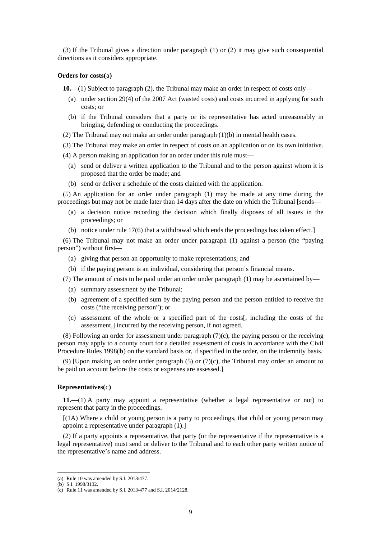(3) If the Tribunal gives a direction under paragraph (1) or (2) it may give such consequential directions as it considers appropriate.

#### **Orders for costs(**[a](#page-8-0)**)**

**10.**—(1) Subject to paragraph (2), the Tribunal may make an order in respect of costs only—

- (a) under section 29(4) of the 2007 Act (wasted costs) and costs incurred in applying for such costs; or
- (b) if the Tribunal considers that a party or its representative has acted unreasonably in bringing, defending or conducting the proceedings.
- (2) The Tribunal may not make an order under paragraph (1)(b) in mental health cases.

(3) The Tribunal may make an order in respect of costs on an application or on its own initiative.

- (4) A person making an application for an order under this rule must—
	- (a) send or deliver a written application to the Tribunal and to the person against whom it is proposed that the order be made; and
	- (b) send or deliver a schedule of the costs claimed with the application.

(5) An application for an order under paragraph (1) may be made at any time during the proceedings but may not be made later than 14 days after the date on which the Tribunal [sends—

- (a) a decision notice recording the decision which finally disposes of all issues in the proceedings; or
- (b) notice under rule 17(6) that a withdrawal which ends the proceedings has taken effect.]

(6) The Tribunal may not make an order under paragraph (1) against a person (the "paying person") without first—

- (a) giving that person an opportunity to make representations; and
- (b) if the paying person is an individual, considering that person's financial means.
- (7) The amount of costs to be paid under an order under paragraph (1) may be ascertained by—
	- (a) summary assessment by the Tribunal;
	- (b) agreement of a specified sum by the paying person and the person entitled to receive the costs ("the receiving person"); or
	- (c) assessment of the whole or a specified part of the costs[, including the costs of the assessment,] incurred by the receiving person, if not agreed.

(8) Following an order for assessment under paragraph  $(7)(c)$ , the paying person or the receiving person may apply to a county court for a detailed assessment of costs in accordance with the Civil Procedure Rules 1998(**[b](#page-8-1)**) on the standard basis or, if specified in the order, on the indemnity basis.

(9) [Upon making an order under paragraph  $(5)$  or  $(7)(c)$ , the Tribunal may order an amount to be paid on account before the costs or expenses are assessed.]

#### **Representatives(**[c](#page-8-2)**)**

**11.**—(1) A party may appoint a representative (whether a legal representative or not) to represent that party in the proceedings.

 $[(1A)$  Where a child or young person is a party to proceedings, that child or young person may appoint a representative under paragraph (1).]

(2) If a party appoints a representative, that party (or the representative if the representative is a legal representative) must send or deliver to the Tribunal and to each other party written notice of the representative's name and address.

<span id="page-8-0"></span><sup>(</sup>**a**) Rule 10 was amended by S.I. 2013/477.

<span id="page-8-1"></span><sup>(</sup>**b**) S.I. 1998/3132.

<span id="page-8-2"></span><sup>(</sup>**c**) Rule 11 was amended by S.I. 2013/477 and S.I. 2014/2128.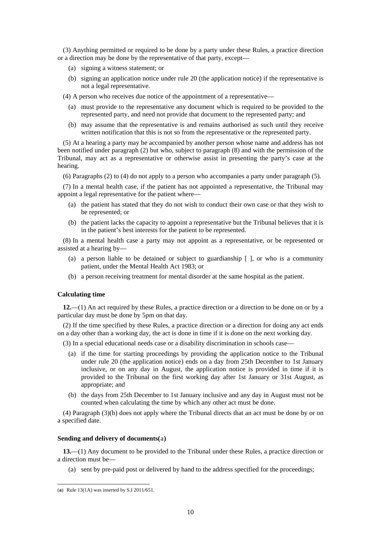(3) Anything permitted or required to be done by a party under these Rules, a practice direction or a direction may be done by the representative of that party, except—

- (a) signing a witness statement; or
- (b) signing an application notice under rule 20 (the application notice) if the representative is not a legal representative.
- (4) A person who receives due notice of the appointment of a representative—
	- (a) must provide to the representative any document which is required to be provided to the represented party, and need not provide that document to the represented party; and
	- (b) may assume that the representative is and remains authorised as such until they receive written notification that this is not so from the representative or the represented party.

(5) At a hearing a party may be accompanied by another person whose name and address has not been notified under paragraph (2) but who, subject to paragraph (8) and with the permission of the Tribunal, may act as a representative or otherwise assist in presenting the party's case at the hearing.

(6) Paragraphs (2) to (4) do not apply to a person who accompanies a party under paragraph (5).

(7) In a mental health case, if the patient has not appointed a representative, the Tribunal may appoint a legal representative for the patient where—

- (a) the patient has stated that they do not wish to conduct their own case or that they wish to be represented; or
- (b) the patient lacks the capacity to appoint a representative but the Tribunal believes that it is in the patient's best interests for the patient to be represented.

(8) In a mental health case a party may not appoint as a representative, or be represented or assisted at a hearing by—

- (a) a person liable to be detained or subject to guardianship  $\lceil \cdot \rceil$ , or who is a community patient, under the Mental Health Act 1983; or
- (b) a person receiving treatment for mental disorder at the same hospital as the patient.

#### **Calculating time**

**12.**—(1) An act required by these Rules, a practice direction or a direction to be done on or by a particular day must be done by 5pm on that day.

(2) If the time specified by these Rules, a practice direction or a direction for doing any act ends on a day other than a working day, the act is done in time if it is done on the next working day.

(3) In a special educational needs case or a disability discrimination in schools case—

- (a) if the time for starting proceedings by providing the application notice to the Tribunal under rule 20 (the application notice) ends on a day from 25th December to 1st January inclusive, or on any day in August, the application notice is provided in time if it is provided to the Tribunal on the first working day after 1st January or 31st August, as appropriate; and
- (b) the days from 25th December to 1st January inclusive and any day in August must not be counted when calculating the time by which any other act must be done.

(4) Paragraph (3)(b) does not apply where the Tribunal directs that an act must be done by or on a specified date.

#### **Sending and delivery of documents(**[a](#page-9-0)**)**

**13.**—(1) Any document to be provided to the Tribunal under these Rules, a practice direction or a direction must be—

(a) sent by pre-paid post or delivered by hand to the address specified for the proceedings;

<span id="page-9-0"></span><sup>(</sup>**a**) Rule 13(1A) was inserted by S.I 2011/651.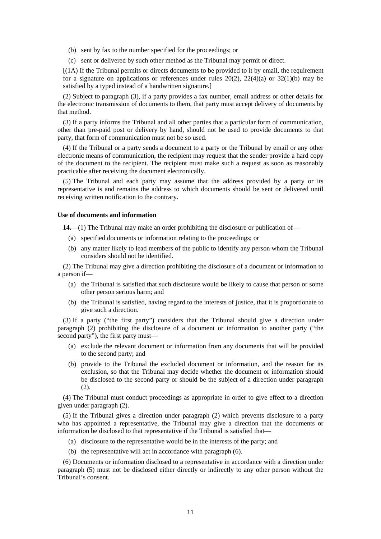- (b) sent by fax to the number specified for the proceedings; or
- (c) sent or delivered by such other method as the Tribunal may permit or direct.

[(1A) If the Tribunal permits or directs documents to be provided to it by email, the requirement for a signature on applications or references under rules  $20(2)$ ,  $22(4)(a)$  or  $32(1)(b)$  may be satisfied by a typed instead of a handwritten signature.]

(2) Subject to paragraph (3), if a party provides a fax number, email address or other details for the electronic transmission of documents to them, that party must accept delivery of documents by that method.

(3) If a party informs the Tribunal and all other parties that a particular form of communication, other than pre-paid post or delivery by hand, should not be used to provide documents to that party, that form of communication must not be so used.

(4) If the Tribunal or a party sends a document to a party or the Tribunal by email or any other electronic means of communication, the recipient may request that the sender provide a hard copy of the document to the recipient. The recipient must make such a request as soon as reasonably practicable after receiving the document electronically.

(5) The Tribunal and each party may assume that the address provided by a party or its representative is and remains the address to which documents should be sent or delivered until receiving written notification to the contrary.

#### **Use of documents and information**

**14.**—(1) The Tribunal may make an order prohibiting the disclosure or publication of—

- (a) specified documents or information relating to the proceedings; or
- (b) any matter likely to lead members of the public to identify any person whom the Tribunal considers should not be identified.

(2) The Tribunal may give a direction prohibiting the disclosure of a document or information to a person if—

- (a) the Tribunal is satisfied that such disclosure would be likely to cause that person or some other person serious harm; and
- (b) the Tribunal is satisfied, having regard to the interests of justice, that it is proportionate to give such a direction.

(3) If a party ("the first party") considers that the Tribunal should give a direction under paragraph (2) prohibiting the disclosure of a document or information to another party ("the second party"), the first party must—

- (a) exclude the relevant document or information from any documents that will be provided to the second party; and
- (b) provide to the Tribunal the excluded document or information, and the reason for its exclusion, so that the Tribunal may decide whether the document or information should be disclosed to the second party or should be the subject of a direction under paragraph (2).

(4) The Tribunal must conduct proceedings as appropriate in order to give effect to a direction given under paragraph (2).

(5) If the Tribunal gives a direction under paragraph (2) which prevents disclosure to a party who has appointed a representative, the Tribunal may give a direction that the documents or information be disclosed to that representative if the Tribunal is satisfied that—

- (a) disclosure to the representative would be in the interests of the party; and
- (b) the representative will act in accordance with paragraph (6).

(6) Documents or information disclosed to a representative in accordance with a direction under paragraph (5) must not be disclosed either directly or indirectly to any other person without the Tribunal's consent.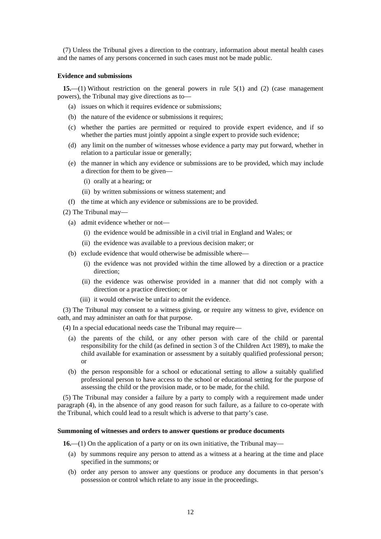(7) Unless the Tribunal gives a direction to the contrary, information about mental health cases and the names of any persons concerned in such cases must not be made public.

#### **Evidence and submissions**

**15.**—(1) Without restriction on the general powers in rule 5(1) and (2) (case management powers), the Tribunal may give directions as to—

- (a) issues on which it requires evidence or submissions;
- (b) the nature of the evidence or submissions it requires;
- (c) whether the parties are permitted or required to provide expert evidence, and if so whether the parties must jointly appoint a single expert to provide such evidence;
- (d) any limit on the number of witnesses whose evidence a party may put forward, whether in relation to a particular issue or generally;
- (e) the manner in which any evidence or submissions are to be provided, which may include a direction for them to be given—
	- (i) orally at a hearing; or
	- (ii) by written submissions or witness statement; and
- (f) the time at which any evidence or submissions are to be provided.
- (2) The Tribunal may—
	- (a) admit evidence whether or not—
		- (i) the evidence would be admissible in a civil trial in England and Wales; or
		- (ii) the evidence was available to a previous decision maker; or
	- (b) exclude evidence that would otherwise be admissible where—
		- (i) the evidence was not provided within the time allowed by a direction or a practice direction;
		- (ii) the evidence was otherwise provided in a manner that did not comply with a direction or a practice direction; or
		- (iii) it would otherwise be unfair to admit the evidence.

(3) The Tribunal may consent to a witness giving, or require any witness to give, evidence on oath, and may administer an oath for that purpose.

(4) In a special educational needs case the Tribunal may require—

- (a) the parents of the child, or any other person with care of the child or parental responsibility for the child (as defined in section 3 of the Children Act 1989), to make the child available for examination or assessment by a suitably qualified professional person; or
- (b) the person responsible for a school or educational setting to allow a suitably qualified professional person to have access to the school or educational setting for the purpose of assessing the child or the provision made, or to be made, for the child.

(5) The Tribunal may consider a failure by a party to comply with a requirement made under paragraph (4), in the absence of any good reason for such failure, as a failure to co-operate with the Tribunal, which could lead to a result which is adverse to that party's case.

#### **Summoning of witnesses and orders to answer questions or produce documents**

**16.**—(1) On the application of a party or on its own initiative, the Tribunal may—

- (a) by summons require any person to attend as a witness at a hearing at the time and place specified in the summons; or
- (b) order any person to answer any questions or produce any documents in that person's possession or control which relate to any issue in the proceedings.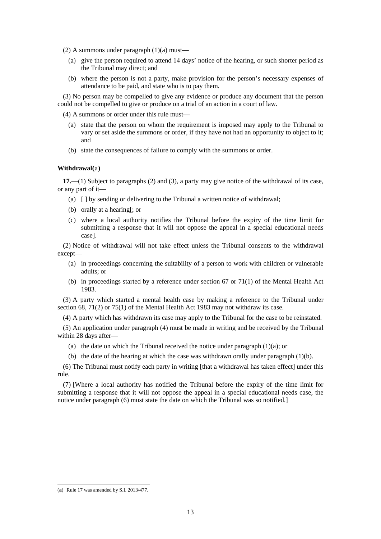(2) A summons under paragraph  $(1)(a)$  must—

- (a) give the person required to attend 14 days' notice of the hearing, or such shorter period as the Tribunal may direct; and
- (b) where the person is not a party, make provision for the person's necessary expenses of attendance to be paid, and state who is to pay them.

(3) No person may be compelled to give any evidence or produce any document that the person could not be compelled to give or produce on a trial of an action in a court of law.

(4) A summons or order under this rule must—

- (a) state that the person on whom the requirement is imposed may apply to the Tribunal to vary or set aside the summons or order, if they have not had an opportunity to object to it; and
- (b) state the consequences of failure to comply with the summons or order.

#### **Withdrawal(**[a](#page-12-0)**)**

**17.**—(1) Subject to paragraphs (2) and (3), a party may give notice of the withdrawal of its case, or any part of it—

- (a) [ ] by sending or delivering to the Tribunal a written notice of withdrawal;
- (b) orally at a hearing[; or
- (c) where a local authority notifies the Tribunal before the expiry of the time limit for submitting a response that it will not oppose the appeal in a special educational needs case].

(2) Notice of withdrawal will not take effect unless the Tribunal consents to the withdrawal except—

- (a) in proceedings concerning the suitability of a person to work with children or vulnerable adults; or
- (b) in proceedings started by a reference under section 67 or 71(1) of the Mental Health Act 1983.

(3) A party which started a mental health case by making a reference to the Tribunal under section 68, 71(2) or 75(1) of the Mental Health Act 1983 may not withdraw its case.

(4) A party which has withdrawn its case may apply to the Tribunal for the case to be reinstated.

(5) An application under paragraph (4) must be made in writing and be received by the Tribunal within 28 days after—

- (a) the date on which the Tribunal received the notice under paragraph  $(1)(a)$ ; or
- (b) the date of the hearing at which the case was withdrawn orally under paragraph (1)(b).

(6) The Tribunal must notify each party in writing [that a withdrawal has taken effect] under this rule.

(7) [Where a local authority has notified the Tribunal before the expiry of the time limit for submitting a response that it will not oppose the appeal in a special educational needs case, the notice under paragraph (6) must state the date on which the Tribunal was so notified.]

<span id="page-12-0"></span><sup>(</sup>**a**) Rule 17 was amended by S.I. 2013/477.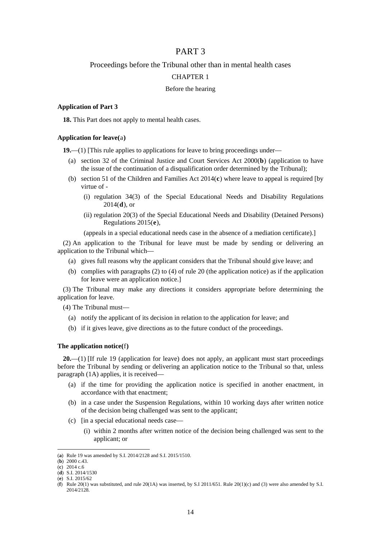# PART 3

# Proceedings before the Tribunal other than in mental health cases

### CHAPTER 1

# Before the hearing

#### **Application of Part 3**

**18.** This Part does not apply to mental health cases.

### **Application for leave(**[a](#page-13-0)**)**

**19.**—(1) [This rule applies to applications for leave to bring proceedings under—

- (a) section 32 of the Criminal Justice and Court Services Act 2000(**[b](#page-13-1)**) (application to have the issue of the continuation of a disqualification order determined by the Tribunal);
- (b) section 51 of the Children and Families Act 2014(**[c](#page-13-2)**) where leave to appeal is required [by virtue of -
	- (i) regulation 34(3) of the Special Educational Needs and Disability Regulations 2014(**[d](#page-13-3)**), or
	- (ii) regulation 20(3) of the Special Educational Needs and Disability (Detained Persons) Regulations 2015(**[e](#page-13-4)**),

(appeals in a special educational needs case in the absence of a mediation certificate).]

(2) An application to the Tribunal for leave must be made by sending or delivering an application to the Tribunal which—

- (a) gives full reasons why the applicant considers that the Tribunal should give leave; and
- (b) complies with paragraphs (2) to (4) of rule 20 (the application notice) as if the application for leave were an application notice.]

(3) The Tribunal may make any directions it considers appropriate before determining the application for leave.

(4) The Tribunal must—

- (a) notify the applicant of its decision in relation to the application for leave; and
- (b) if it gives leave, give directions as to the future conduct of the proceedings.

### **The application notice(**[f](#page-13-5)**)**

**20.**—(1) [If rule 19 (application for leave) does not apply, an applicant must start proceedings before the Tribunal by sending or delivering an application notice to the Tribunal so that, unless paragraph (1A) applies, it is received—

- (a) if the time for providing the application notice is specified in another enactment, in accordance with that enactment;
- (b) in a case under the Suspension Regulations, within 10 working days after written notice of the decision being challenged was sent to the applicant;
- (c) [in a special educational needs case—
	- (i) within 2 months after written notice of the decision being challenged was sent to the applicant; or

<span id="page-13-0"></span><sup>(</sup>**a**) Rule 19 was amended by S.I. 2014/2128 and S.I. 2015/1510.

<span id="page-13-1"></span><sup>(</sup>**b**) 2000 c.43.

<span id="page-13-2"></span><sup>(</sup>**c**) 2014 c.6

<span id="page-13-3"></span><sup>(</sup>**d**) S.I. 2014/1530

<span id="page-13-4"></span><sup>(</sup>**e**) S.I. 2015/62

<span id="page-13-5"></span><sup>(</sup>**f**) Rule  $20(1)$  was substituted, and rule  $20(1A)$  was inserted, by S.I  $2011/651$ . Rule  $20(1)(c)$  and (3) were also amended by S.I. 2014/2128.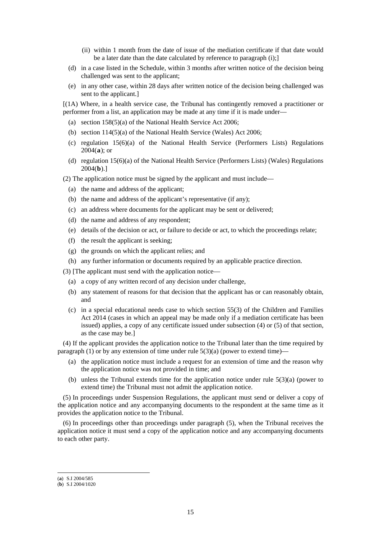- (ii) within 1 month from the date of issue of the mediation certificate if that date would be a later date than the date calculated by reference to paragraph (i);]
- (d) in a case listed in the Schedule, within 3 months after written notice of the decision being challenged was sent to the applicant;
- (e) in any other case, within 28 days after written notice of the decision being challenged was sent to the applicant.]

[(1A) Where, in a health service case, the Tribunal has contingently removed a practitioner or performer from a list, an application may be made at any time if it is made under—

- (a) section 158(5)(a) of the National Health Service Act 2006;
- (b) section 114(5)(a) of the National Health Service (Wales) Act 2006;
- (c) regulation 15(6)(a) of the National Health Service (Performers Lists) Regulations 2004(**[a](#page-14-0)**); or
- (d) regulation 15(6)(a) of the National Health Service (Performers Lists) (Wales) Regulations 2004(**[b](#page-14-1)**).]

(2) The application notice must be signed by the applicant and must include—

- (a) the name and address of the applicant;
- (b) the name and address of the applicant's representative (if any);
- (c) an address where documents for the applicant may be sent or delivered;
- (d) the name and address of any respondent;
- (e) details of the decision or act, or failure to decide or act, to which the proceedings relate;
- (f) the result the applicant is seeking;
- (g) the grounds on which the applicant relies; and
- (h) any further information or documents required by an applicable practice direction.

(3) [The applicant must send with the application notice—

- (a) a copy of any written record of any decision under challenge,
- (b) any statement of reasons for that decision that the applicant has or can reasonably obtain, and
- (c) in a special educational needs case to which section 55(3) of the Children and Families Act 2014 (cases in which an appeal may be made only if a mediation certificate has been issued) applies, a copy of any certificate issued under subsection (4) or (5) of that section, as the case may be.]

(4) If the applicant provides the application notice to the Tribunal later than the time required by paragraph (1) or by any extension of time under rule  $5(3)(a)$  (power to extend time)–

- (a) the application notice must include a request for an extension of time and the reason why the application notice was not provided in time; and
- (b) unless the Tribunal extends time for the application notice under rule 5(3)(a) (power to extend time) the Tribunal must not admit the application notice.

(5) In proceedings under Suspension Regulations, the applicant must send or deliver a copy of the application notice and any accompanying documents to the respondent at the same time as it provides the application notice to the Tribunal.

(6) In proceedings other than proceedings under paragraph (5), when the Tribunal receives the application notice it must send a copy of the application notice and any accompanying documents to each other party.

l

<span id="page-14-0"></span><sup>(</sup>**a**) S.I 2004/585

<span id="page-14-1"></span><sup>(</sup>**b**) S.I 2004/1020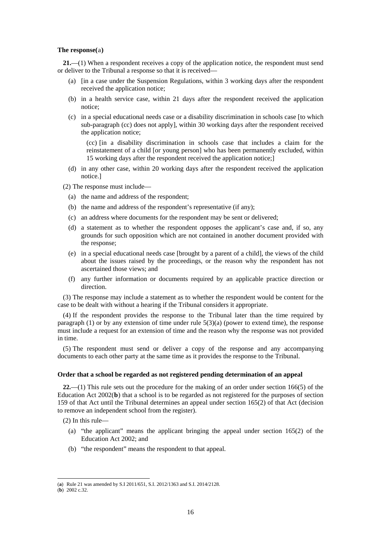#### **The response(**[a](#page-15-0)**)**

**21.**—(1) When a respondent receives a copy of the application notice, the respondent must send or deliver to the Tribunal a response so that it is received—

- (a) [in a case under the Suspension Regulations, within 3 working days after the respondent received the application notice;
- (b) in a health service case, within 21 days after the respondent received the application notice;
- (c) in a special educational needs case or a disability discrimination in schools case [to which sub-paragraph (cc) does not apply], within 30 working days after the respondent received the application notice;

(cc) [in a disability discrimination in schools case that includes a claim for the reinstatement of a child [or young person] who has been permanently excluded, within 15 working days after the respondent received the application notice;]

- (d) in any other case, within 20 working days after the respondent received the application notice.]
- (2) The response must include—
	- (a) the name and address of the respondent;
	- (b) the name and address of the respondent's representative (if any);
	- (c) an address where documents for the respondent may be sent or delivered;
	- (d) a statement as to whether the respondent opposes the applicant's case and, if so, any grounds for such opposition which are not contained in another document provided with the response;
	- (e) in a special educational needs case [brought by a parent of a child], the views of the child about the issues raised by the proceedings, or the reason why the respondent has not ascertained those views; and
	- (f) any further information or documents required by an applicable practice direction or direction.

(3) The response may include a statement as to whether the respondent would be content for the case to be dealt with without a hearing if the Tribunal considers it appropriate.

(4) If the respondent provides the response to the Tribunal later than the time required by paragraph  $(1)$  or by any extension of time under rule  $5(3)(a)$  (power to extend time), the response must include a request for an extension of time and the reason why the response was not provided in time.

(5) The respondent must send or deliver a copy of the response and any accompanying documents to each other party at the same time as it provides the response to the Tribunal.

#### **Order that a school be regarded as not registered pending determination of an appeal**

**22.**—(1) This rule sets out the procedure for the making of an order under section 166(5) of the Education Act 2002(**[b](#page-15-1)**) that a school is to be regarded as not registered for the purposes of section 159 of that Act until the Tribunal determines an appeal under section 165(2) of that Act (decision to remove an independent school from the register).

(2) In this rule—

- (a) "the applicant" means the applicant bringing the appeal under section 165(2) of the Education Act 2002; and
- (b) "the respondent" means the respondent to that appeal.

<span id="page-15-0"></span><sup>(</sup>**a**) Rule 21 was amended by S.I 2011/651, S.I. 2012/1363 and S.I. 2014/2128.

<span id="page-15-1"></span><sup>(</sup>**b**) 2002 c.32.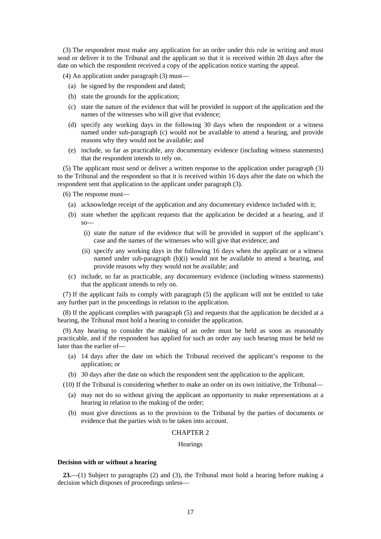(3) The respondent must make any application for an order under this rule in writing and must send or deliver it to the Tribunal and the applicant so that it is received within 28 days after the date on which the respondent received a copy of the application notice starting the appeal.

(4) An application under paragraph (3) must—

- (a) be signed by the respondent and dated;
- (b) state the grounds for the application;
- (c) state the nature of the evidence that will be provided in support of the application and the names of the witnesses who will give that evidence;
- (d) specify any working days in the following 30 days when the respondent or a witness named under sub-paragraph (c) would not be available to attend a hearing, and provide reasons why they would not be available; and
- (e) include, so far as practicable, any documentary evidence (including witness statements) that the respondent intends to rely on.

(5) The applicant must send or deliver a written response to the application under paragraph (3) to the Tribunal and the respondent so that it is received within 16 days after the date on which the respondent sent that application to the applicant under paragraph (3).

(6) The response must—

- (a) acknowledge receipt of the application and any documentary evidence included with it;
- (b) state whether the applicant requests that the application be decided at a hearing, and if so—
	- (i) state the nature of the evidence that will be provided in support of the applicant's case and the names of the witnesses who will give that evidence; and
	- (ii) specify any working days in the following 16 days when the applicant or a witness named under sub-paragraph (b)(i) would not be available to attend a hearing, and provide reasons why they would not be available; and
- (c) include, so far as practicable, any documentary evidence (including witness statements) that the applicant intends to rely on.

(7) If the applicant fails to comply with paragraph (5) the applicant will not be entitled to take any further part in the proceedings in relation to the application.

(8) If the applicant complies with paragraph (5) and requests that the application be decided at a hearing, the Tribunal must hold a hearing to consider the application.

(9) Any hearing to consider the making of an order must be held as soon as reasonably practicable, and if the respondent has applied for such an order any such hearing must be held no later than the earlier of—

- (a) 14 days after the date on which the Tribunal received the applicant's response to the application; or
- (b) 30 days after the date on which the respondent sent the application to the applicant.

(10) If the Tribunal is considering whether to make an order on its own initiative, the Tribunal—

- (a) may not do so without giving the applicant an opportunity to make representations at a hearing in relation to the making of the order;
- (b) must give directions as to the provision to the Tribunal by the parties of documents or evidence that the parties wish to be taken into account.

#### CHAPTER 2

# Hearings

#### **Decision with or without a hearing**

**23.**—(1) Subject to paragraphs (2) and (3), the Tribunal must hold a hearing before making a decision which disposes of proceedings unless—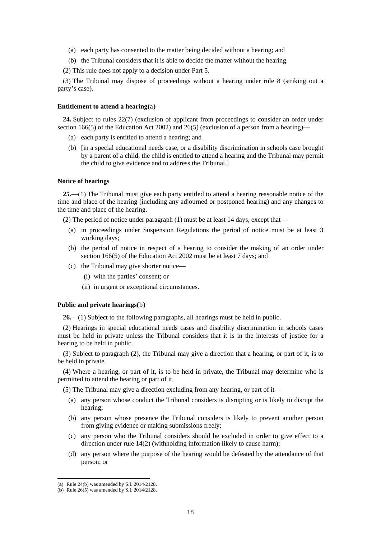- (a) each party has consented to the matter being decided without a hearing; and
- (b) the Tribunal considers that it is able to decide the matter without the hearing.

(2) This rule does not apply to a decision under Part 5.

(3) The Tribunal may dispose of proceedings without a hearing under rule 8 (striking out a party's case).

#### **Entitlement to attend a hearing(**[a](#page-17-0)**)**

**24.** Subject to rules 22(7) (exclusion of applicant from proceedings to consider an order under section  $166(5)$  of the Education Act 2002) and  $26(5)$  (exclusion of a person from a hearing)—

- (a) each party is entitled to attend a hearing; and
- (b) [in a special educational needs case, or a disability discrimination in schools case brought by a parent of a child, the child is entitled to attend a hearing and the Tribunal may permit the child to give evidence and to address the Tribunal.]

#### **Notice of hearings**

**25.**—(1) The Tribunal must give each party entitled to attend a hearing reasonable notice of the time and place of the hearing (including any adjourned or postponed hearing) and any changes to the time and place of the hearing.

(2) The period of notice under paragraph (1) must be at least 14 days, except that—

- (a) in proceedings under Suspension Regulations the period of notice must be at least 3 working days;
- (b) the period of notice in respect of a hearing to consider the making of an order under section 166(5) of the Education Act 2002 must be at least 7 days; and
- (c) the Tribunal may give shorter notice—
	- (i) with the parties' consent; or
	- (ii) in urgent or exceptional circumstances.

#### **Public and private hearings(**[b](#page-17-1)**)**

**26.**—(1) Subject to the following paragraphs, all hearings must be held in public.

(2) Hearings in special educational needs cases and disability discrimination in schools cases must be held in private unless the Tribunal considers that it is in the interests of justice for a hearing to be held in public.

(3) Subject to paragraph (2), the Tribunal may give a direction that a hearing, or part of it, is to be held in private.

(4) Where a hearing, or part of it, is to be held in private, the Tribunal may determine who is permitted to attend the hearing or part of it.

(5) The Tribunal may give a direction excluding from any hearing, or part of it—

- (a) any person whose conduct the Tribunal considers is disrupting or is likely to disrupt the hearing;
- (b) any person whose presence the Tribunal considers is likely to prevent another person from giving evidence or making submissions freely;
- (c) any person who the Tribunal considers should be excluded in order to give effect to a direction under rule 14(2) (withholding information likely to cause harm);
- (d) any person where the purpose of the hearing would be defeated by the attendance of that person; or

<span id="page-17-0"></span><sup>(</sup>**a**) Rule 24(b) was amended by S.I. 2014/2128.

<span id="page-17-1"></span><sup>(</sup>**b**) Rule 26(5) was amended by S.I. 2014/2128.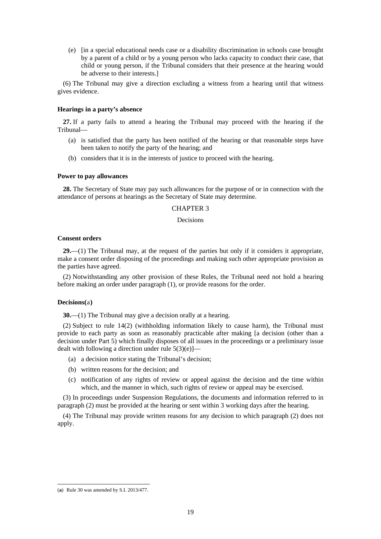(e) [in a special educational needs case or a disability discrimination in schools case brought by a parent of a child or by a young person who lacks capacity to conduct their case, that child or young person, if the Tribunal considers that their presence at the hearing would be adverse to their interests.]

(6) The Tribunal may give a direction excluding a witness from a hearing until that witness gives evidence.

#### **Hearings in a party's absence**

**27.** If a party fails to attend a hearing the Tribunal may proceed with the hearing if the Tribunal—

- (a) is satisfied that the party has been notified of the hearing or that reasonable steps have been taken to notify the party of the hearing; and
- (b) considers that it is in the interests of justice to proceed with the hearing.

#### **Power to pay allowances**

**28.** The Secretary of State may pay such allowances for the purpose of or in connection with the attendance of persons at hearings as the Secretary of State may determine.

#### CHAPTER 3

### Decisions

#### **Consent orders**

**29.**—(1) The Tribunal may, at the request of the parties but only if it considers it appropriate, make a consent order disposing of the proceedings and making such other appropriate provision as the parties have agreed.

(2) Notwithstanding any other provision of these Rules, the Tribunal need not hold a hearing before making an order under paragraph (1), or provide reasons for the order.

#### **Decisions(**[a](#page-18-0)**)**

**30.**—(1) The Tribunal may give a decision orally at a hearing.

(2) Subject to rule 14(2) (withholding information likely to cause harm), the Tribunal must provide to each party as soon as reasonably practicable after making [a decision (other than a decision under Part 5) which finally disposes of all issues in the proceedings or a preliminary issue dealt with following a direction under rule  $5(3)(e)$ ]—

- (a) a decision notice stating the Tribunal's decision;
- (b) written reasons for the decision; and
- (c) notification of any rights of review or appeal against the decision and the time within which, and the manner in which, such rights of review or appeal may be exercised.

(3) In proceedings under Suspension Regulations, the documents and information referred to in paragraph (2) must be provided at the hearing or sent within 3 working days after the hearing.

(4) The Tribunal may provide written reasons for any decision to which paragraph (2) does not apply.

<span id="page-18-0"></span><sup>(</sup>**a**) Rule 30 was amended by S.I. 2013/477.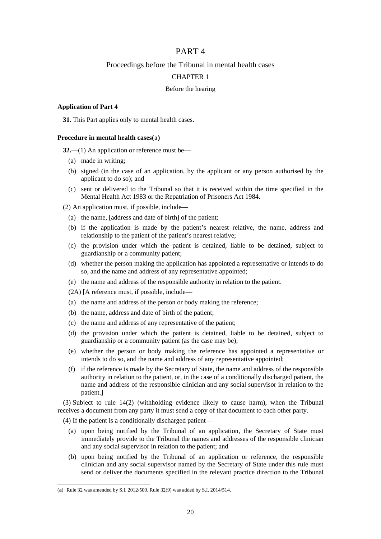# PART 4

## Proceedings before the Tribunal in mental health cases

### CHAPTER 1

#### Before the hearing

#### **Application of Part 4**

**31.** This Part applies only to mental health cases.

# **Procedure in mental health cases(**[a](#page-19-0)**)**

**32.**—(1) An application or reference must be—

- (a) made in writing;
- (b) signed (in the case of an application, by the applicant or any person authorised by the applicant to do so); and
- (c) sent or delivered to the Tribunal so that it is received within the time specified in the Mental Health Act 1983 or the Repatriation of Prisoners Act 1984.

(2) An application must, if possible, include—

- (a) the name, [address and date of birth] of the patient;
- (b) if the application is made by the patient's nearest relative, the name, address and relationship to the patient of the patient's nearest relative;
- (c) the provision under which the patient is detained, liable to be detained, subject to guardianship or a community patient;
- (d) whether the person making the application has appointed a representative or intends to do so, and the name and address of any representative appointed;
- (e) the name and address of the responsible authority in relation to the patient.

(2A) [A reference must, if possible, include—

- (a) the name and address of the person or body making the reference;
- (b) the name, address and date of birth of the patient;
- (c) the name and address of any representative of the patient;
- (d) the provision under which the patient is detained, liable to be detained, subject to guardianship or a community patient (as the case may be);
- (e) whether the person or body making the reference has appointed a representative or intends to do so, and the name and address of any representative appointed;
- (f) if the reference is made by the Secretary of State, the name and address of the responsible authority in relation to the patient, or, in the case of a conditionally discharged patient, the name and address of the responsible clinician and any social supervisor in relation to the patient.]

(3) Subject to rule 14(2) (withholding evidence likely to cause harm), when the Tribunal receives a document from any party it must send a copy of that document to each other party.

(4) If the patient is a conditionally discharged patient—

- (a) upon being notified by the Tribunal of an application, the Secretary of State must immediately provide to the Tribunal the names and addresses of the responsible clinician and any social supervisor in relation to the patient; and
- (b) upon being notified by the Tribunal of an application or reference, the responsible clinician and any social supervisor named by the Secretary of State under this rule must send or deliver the documents specified in the relevant practice direction to the Tribunal

l

<span id="page-19-0"></span><sup>(</sup>**a**) Rule 32 was amended by S.I. 2012/500. Rule 32(9) was added by S.I. 2014/514.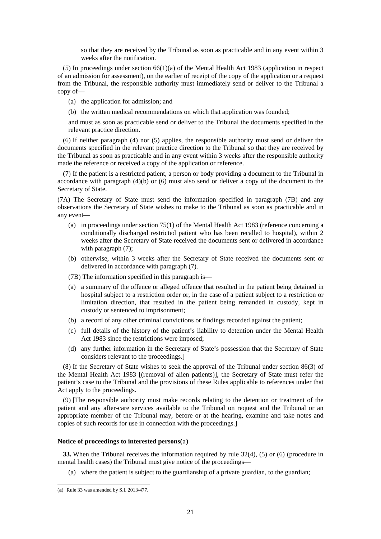so that they are received by the Tribunal as soon as practicable and in any event within 3 weeks after the notification.

 $(5)$  In proceedings under section  $66(1)(a)$  of the Mental Health Act 1983 (application in respect of an admission for assessment), on the earlier of receipt of the copy of the application or a request from the Tribunal, the responsible authority must immediately send or deliver to the Tribunal a copy of—

(a) the application for admission; and

(b) the written medical recommendations on which that application was founded;

and must as soon as practicable send or deliver to the Tribunal the documents specified in the relevant practice direction.

(6) If neither paragraph (4) nor (5) applies, the responsible authority must send or deliver the documents specified in the relevant practice direction to the Tribunal so that they are received by the Tribunal as soon as practicable and in any event within 3 weeks after the responsible authority made the reference or received a copy of the application or reference.

(7) If the patient is a restricted patient, a person or body providing a document to the Tribunal in accordance with paragraph  $(4)(b)$  or  $(6)$  must also send or deliver a copy of the document to the Secretary of State.

(7A) The Secretary of State must send the information specified in paragraph (7B) and any observations the Secretary of State wishes to make to the Tribunal as soon as practicable and in any event—

- (a) in proceedings under section 75(1) of the Mental Health Act 1983 (reference concerning a conditionally discharged restricted patient who has been recalled to hospital), within 2 weeks after the Secretary of State received the documents sent or delivered in accordance with paragraph  $(7)$ ;
- (b) otherwise, within 3 weeks after the Secretary of State received the documents sent or delivered in accordance with paragraph (7).
- (7B) The information specified in this paragraph is—
- (a) a summary of the offence or alleged offence that resulted in the patient being detained in hospital subject to a restriction order or, in the case of a patient subject to a restriction or limitation direction, that resulted in the patient being remanded in custody, kept in custody or sentenced to imprisonment;
- (b) a record of any other criminal convictions or findings recorded against the patient;
- (c) full details of the history of the patient's liability to detention under the Mental Health Act 1983 since the restrictions were imposed;
- (d) any further information in the Secretary of State's possession that the Secretary of State considers relevant to the proceedings.]

(8) If the Secretary of State wishes to seek the approval of the Tribunal under section 86(3) of the Mental Health Act 1983 [(removal of alien patients)], the Secretary of State must refer the patient's case to the Tribunal and the provisions of these Rules applicable to references under that Act apply to the proceedings.

(9) [The responsible authority must make records relating to the detention or treatment of the patient and any after-care services available to the Tribunal on request and the Tribunal or an appropriate member of the Tribunal may, before or at the hearing, examine and take notes and copies of such records for use in connection with the proceedings.]

#### **Notice of proceedings to interested persons(**[a](#page-20-0)**)**

**33.** When the Tribunal receives the information required by rule 32(4), (5) or (6) (procedure in mental health cases) the Tribunal must give notice of the proceedings—

(a) where the patient is subject to the guardianship of a private guardian, to the guardian;

<span id="page-20-0"></span><sup>(</sup>**a**) Rule 33 was amended by S.I. 2013/477.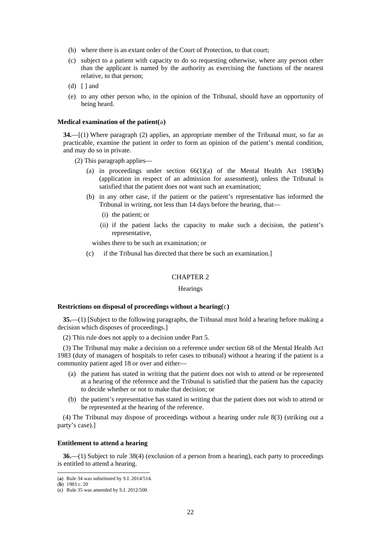- (b) where there is an extant order of the Court of Protection, to that court;
- (c) subject to a patient with capacity to do so requesting otherwise, where any person other than the applicant is named by the authority as exercising the functions of the nearest relative, to that person;
- $(d) \mid$  and
- (e) to any other person who, in the opinion of the Tribunal, should have an opportunity of being heard.

#### **Medical examination of the patient(**[a](#page-21-0)**)**

**34.**—[(1) Where paragraph (2) applies, an appropriate member of the Tribunal must, so far as practicable, examine the patient in order to form an opinion of the patient's mental condition, and may do so in private.

(2) This paragraph applies—

- (a) in proceedings under section 66(1)(a) of the Mental Health Act 1983(**[b](#page-21-1)**) (application in respect of an admission for assessment), unless the Tribunal is satisfied that the patient does not want such an examination;
- (b) in any other case, if the patient or the patient's representative has informed the Tribunal in writing, not less than 14 days before the hearing, that—
	- (i) the patient; or
	- (ii) if the patient lacks the capacity to make such a decision, the patient's representative,

wishes there to be such an examination; or

(c) if the Tribunal has directed that there be such an examination.]

# CHAPTER 2

#### **Hearings**

#### **Restrictions on disposal of proceedings without a hearing(**[c](#page-21-2)**)**

**35.**—(1) [Subject to the following paragraphs, the Tribunal must hold a hearing before making a decision which disposes of proceedings.]

(2) This rule does not apply to a decision under Part 5.

(3) The Tribunal may make a decision on a reference under section 68 of the Mental Health Act 1983 (duty of managers of hospitals to refer cases to tribunal) without a hearing if the patient is a community patient aged 18 or over and either—

- (a) the patient has stated in writing that the patient does not wish to attend or be represented at a hearing of the reference and the Tribunal is satisfied that the patient has the capacity to decide whether or not to make that decision; or
- (b) the patient's representative has stated in writing that the patient does not wish to attend or be represented at the hearing of the reference.

(4) The Tribunal may dispose of proceedings without a hearing under rule 8(3) (striking out a party's case).]

#### **Entitlement to attend a hearing**

**36.**—(1) Subject to rule 38(4) (exclusion of a person from a hearing), each party to proceedings is entitled to attend a hearing.

<span id="page-21-0"></span><sup>(</sup>**a**) Rule 34 was substituted by S.I. 2014/514.

<span id="page-21-1"></span><sup>(</sup>**b**) 1983 c. 20

<span id="page-21-2"></span><sup>(</sup>**c**) Rule 35 was amended by S.I. 2012/500.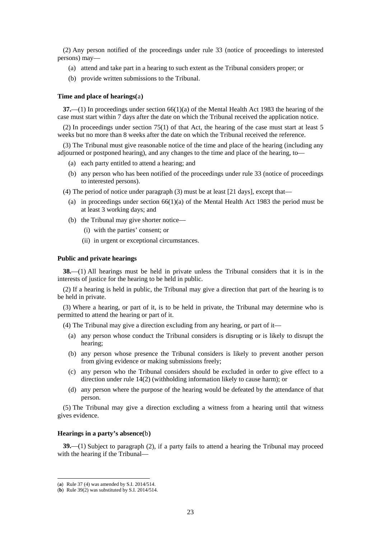(2) Any person notified of the proceedings under rule 33 (notice of proceedings to interested persons) may—

- (a) attend and take part in a hearing to such extent as the Tribunal considers proper; or
- (b) provide written submissions to the Tribunal.

#### **Time and place of hearings(**[a](#page-22-0)**)**

**37.**—(1) In proceedings under section 66(1)(a) of the Mental Health Act 1983 the hearing of the case must start within 7 days after the date on which the Tribunal received the application notice.

(2) In proceedings under section 75(1) of that Act, the hearing of the case must start at least 5 weeks but no more than 8 weeks after the date on which the Tribunal received the reference.

(3) The Tribunal must give reasonable notice of the time and place of the hearing (including any adjourned or postponed hearing), and any changes to the time and place of the hearing, to—

- (a) each party entitled to attend a hearing; and
- (b) any person who has been notified of the proceedings under rule 33 (notice of proceedings to interested persons).

(4) The period of notice under paragraph (3) must be at least [21 days], except that—

- (a) in proceedings under section  $66(1)(a)$  of the Mental Health Act 1983 the period must be at least 3 working days; and
- (b) the Tribunal may give shorter notice—
	- (i) with the parties' consent; or
	- (ii) in urgent or exceptional circumstances.

#### **Public and private hearings**

**38.**—(1) All hearings must be held in private unless the Tribunal considers that it is in the interests of justice for the hearing to be held in public.

(2) If a hearing is held in public, the Tribunal may give a direction that part of the hearing is to be held in private.

(3) Where a hearing, or part of it, is to be held in private, the Tribunal may determine who is permitted to attend the hearing or part of it.

(4) The Tribunal may give a direction excluding from any hearing, or part of it—

- (a) any person whose conduct the Tribunal considers is disrupting or is likely to disrupt the hearing;
- (b) any person whose presence the Tribunal considers is likely to prevent another person from giving evidence or making submissions freely;
- (c) any person who the Tribunal considers should be excluded in order to give effect to a direction under rule 14(2) (withholding information likely to cause harm); or
- (d) any person where the purpose of the hearing would be defeated by the attendance of that person.

(5) The Tribunal may give a direction excluding a witness from a hearing until that witness gives evidence.

#### **Hearings in a party's absence(**[b](#page-22-1)**)**

**39.**—(1) Subject to paragraph (2), if a party fails to attend a hearing the Tribunal may proceed with the hearing if the Tribunal—

<sup>(</sup>**a**) Rule 37 (4) was amended by S.I. 2014/514.

<span id="page-22-1"></span><span id="page-22-0"></span><sup>(</sup>**b**) Rule 39(2) was substituted by S.I. 2014/514.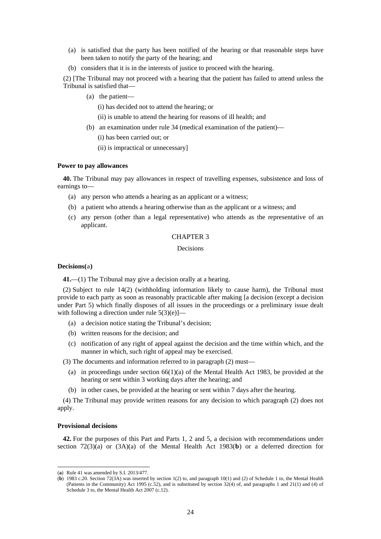- (a) is satisfied that the party has been notified of the hearing or that reasonable steps have been taken to notify the party of the hearing; and
- (b) considers that it is in the interests of justice to proceed with the hearing.

(2) [The Tribunal may not proceed with a hearing that the patient has failed to attend unless the Tribunal is satisfied that—

(a) the patient—

(i) has decided not to attend the hearing; or

- (ii) is unable to attend the hearing for reasons of ill health; and
- (b) an examination under rule 34 (medical examination of the patient)—

(i) has been carried out; or

(ii) is impractical or unnecessary]

#### **Power to pay allowances**

**40.** The Tribunal may pay allowances in respect of travelling expenses, subsistence and loss of earnings to—

- (a) any person who attends a hearing as an applicant or a witness;
- (b) a patient who attends a hearing otherwise than as the applicant or a witness; and
- (c) any person (other than a legal representative) who attends as the representative of an applicant.

# CHAPTER 3

# Decisions

#### **Decisions(**[a](#page-23-0)**)**

**41.**—(1) The Tribunal may give a decision orally at a hearing.

(2) Subject to rule 14(2) (withholding information likely to cause harm), the Tribunal must provide to each party as soon as reasonably practicable after making [a decision (except a decision under Part 5) which finally disposes of all issues in the proceedings or a preliminary issue dealt with following a direction under rule  $5(3)(e)$ ]—

- (a) a decision notice stating the Tribunal's decision;
- (b) written reasons for the decision; and
- (c) notification of any right of appeal against the decision and the time within which, and the manner in which, such right of appeal may be exercised.

(3) The documents and information referred to in paragraph (2) must—

- (a) in proceedings under section 66(1)(a) of the Mental Health Act 1983, be provided at the hearing or sent within 3 working days after the hearing; and
- (b) in other cases, be provided at the hearing or sent within 7 days after the hearing.

(4) The Tribunal may provide written reasons for any decision to which paragraph (2) does not apply.

#### **Provisional decisions**

**42.** For the purposes of this Part and Parts 1, 2 and 5, a decision with recommendations under section 72(3)(a) or (3A)(a) of the Mental Health Act 1983(**[b](#page-23-1)**) or a deferred direction for

<span id="page-23-0"></span> <sup>(</sup>**a**) Rule 41 was amended by S.I. 2013/477.

<span id="page-23-1"></span><sup>(</sup>**b**) 1983 c.20. Section 72(3A) was inserted by section 1(2) to, and paragraph 10(1) and (2) of Schedule 1 to, the Mental Health (Patients in the Community) Act 1995 (c.52), and is substituted by section 32(4) of, and paragraphs 1 and 21(1) and (4) of Schedule 3 to, the Mental Health Act 2007 (c.12).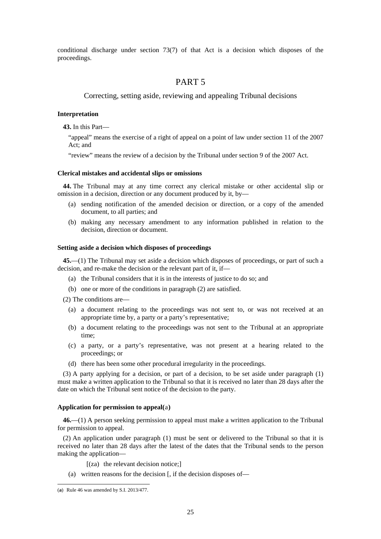conditional discharge under section 73(7) of that Act is a decision which disposes of the proceedings.

# PART 5

Correcting, setting aside, reviewing and appealing Tribunal decisions

#### **Interpretation**

**43.** In this Part—

"appeal" means the exercise of a right of appeal on a point of law under section 11 of the 2007 Act; and

"review" means the review of a decision by the Tribunal under section 9 of the 2007 Act.

#### **Clerical mistakes and accidental slips or omissions**

**44.** The Tribunal may at any time correct any clerical mistake or other accidental slip or omission in a decision, direction or any document produced by it, by—

- (a) sending notification of the amended decision or direction, or a copy of the amended document, to all parties; and
- (b) making any necessary amendment to any information published in relation to the decision, direction or document.

#### **Setting aside a decision which disposes of proceedings**

**45.**—(1) The Tribunal may set aside a decision which disposes of proceedings, or part of such a decision, and re-make the decision or the relevant part of it, if—

- (a) the Tribunal considers that it is in the interests of justice to do so; and
- (b) one or more of the conditions in paragraph (2) are satisfied.

(2) The conditions are—

- (a) a document relating to the proceedings was not sent to, or was not received at an appropriate time by, a party or a party's representative;
- (b) a document relating to the proceedings was not sent to the Tribunal at an appropriate time;
- (c) a party, or a party's representative, was not present at a hearing related to the proceedings; or
- (d) there has been some other procedural irregularity in the proceedings.

(3) A party applying for a decision, or part of a decision, to be set aside under paragraph (1) must make a written application to the Tribunal so that it is received no later than 28 days after the date on which the Tribunal sent notice of the decision to the party.

#### **Application for permission to appeal(**[a](#page-24-0)**)**

**46.**—(1) A person seeking permission to appeal must make a written application to the Tribunal for permission to appeal.

(2) An application under paragraph (1) must be sent or delivered to the Tribunal so that it is received no later than 28 days after the latest of the dates that the Tribunal sends to the person making the application—

[(za) the relevant decision notice;]

(a) written reasons for the decision [, if the decision disposes of—

<span id="page-24-0"></span><sup>(</sup>**a**) Rule 46 was amended by S.I. 2013/477.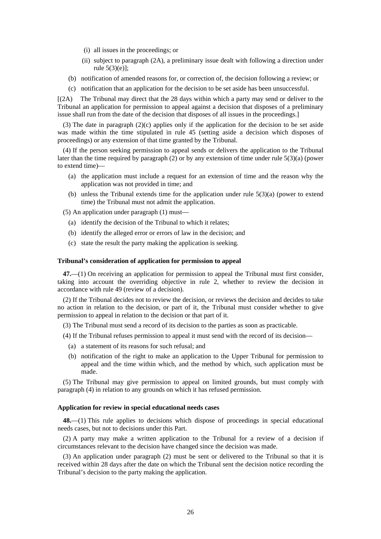- (i) all issues in the proceedings; or
- (ii) subject to paragraph (2A), a preliminary issue dealt with following a direction under rule 5(3)(e)];
- (b) notification of amended reasons for, or correction of, the decision following a review; or
- (c) notification that an application for the decision to be set aside has been unsuccessful.

[(2A) The Tribunal may direct that the 28 days within which a party may send or deliver to the Tribunal an application for permission to appeal against a decision that disposes of a preliminary issue shall run from the date of the decision that disposes of all issues in the proceedings.]

(3) The date in paragraph (2)(c) applies only if the application for the decision to be set aside was made within the time stipulated in rule 45 (setting aside a decision which disposes of proceedings) or any extension of that time granted by the Tribunal.

(4) If the person seeking permission to appeal sends or delivers the application to the Tribunal later than the time required by paragraph (2) or by any extension of time under rule 5(3)(a) (power to extend time)—

- (a) the application must include a request for an extension of time and the reason why the application was not provided in time; and
- (b) unless the Tribunal extends time for the application under rule  $5(3)(a)$  (power to extend time) the Tribunal must not admit the application.

(5) An application under paragraph (1) must—

- (a) identify the decision of the Tribunal to which it relates;
- (b) identify the alleged error or errors of law in the decision; and
- (c) state the result the party making the application is seeking.

#### **Tribunal's consideration of application for permission to appeal**

**47.**—(1) On receiving an application for permission to appeal the Tribunal must first consider, taking into account the overriding objective in rule 2, whether to review the decision in accordance with rule 49 (review of a decision).

(2) If the Tribunal decides not to review the decision, or reviews the decision and decides to take no action in relation to the decision, or part of it, the Tribunal must consider whether to give permission to appeal in relation to the decision or that part of it.

(3) The Tribunal must send a record of its decision to the parties as soon as practicable.

- (4) If the Tribunal refuses permission to appeal it must send with the record of its decision—
	- (a) a statement of its reasons for such refusal; and
	- (b) notification of the right to make an application to the Upper Tribunal for permission to appeal and the time within which, and the method by which, such application must be made.

(5) The Tribunal may give permission to appeal on limited grounds, but must comply with paragraph (4) in relation to any grounds on which it has refused permission.

#### **Application for review in special educational needs cases**

**48.**—(1) This rule applies to decisions which dispose of proceedings in special educational needs cases, but not to decisions under this Part.

(2) A party may make a written application to the Tribunal for a review of a decision if circumstances relevant to the decision have changed since the decision was made.

(3) An application under paragraph (2) must be sent or delivered to the Tribunal so that it is received within 28 days after the date on which the Tribunal sent the decision notice recording the Tribunal's decision to the party making the application.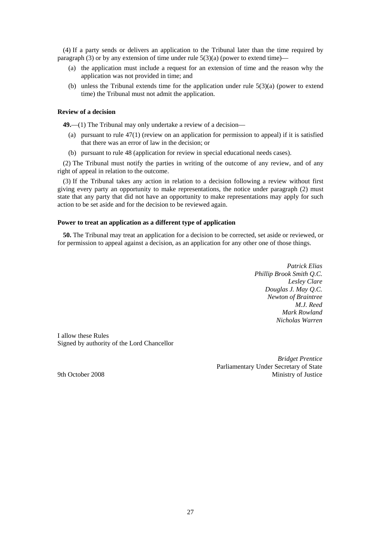(4) If a party sends or delivers an application to the Tribunal later than the time required by paragraph (3) or by any extension of time under rule  $5(3)(a)$  (power to extend time)—

- (a) the application must include a request for an extension of time and the reason why the application was not provided in time; and
- (b) unless the Tribunal extends time for the application under rule  $5(3)(a)$  (power to extend time) the Tribunal must not admit the application.

# **Review of a decision**

**49.**—(1) The Tribunal may only undertake a review of a decision—

- (a) pursuant to rule  $47(1)$  (review on an application for permission to appeal) if it is satisfied that there was an error of law in the decision; or
- (b) pursuant to rule 48 (application for review in special educational needs cases).

(2) The Tribunal must notify the parties in writing of the outcome of any review, and of any right of appeal in relation to the outcome.

(3) If the Tribunal takes any action in relation to a decision following a review without first giving every party an opportunity to make representations, the notice under paragraph (2) must state that any party that did not have an opportunity to make representations may apply for such action to be set aside and for the decision to be reviewed again.

#### **Power to treat an application as a different type of application**

**50.** The Tribunal may treat an application for a decision to be corrected, set aside or reviewed, or for permission to appeal against a decision, as an application for any other one of those things.

> *Patrick Elias Phillip Brook Smith Q.C. Lesley Clare Douglas J. May Q.C. Newton of Braintree M.J. Reed Mark Rowland Nicholas Warren*

I allow these Rules Signed by authority of the Lord Chancellor

*Bridget Prentice* Parliamentary Under Secretary of State 9th October 2008 Ministry of Justice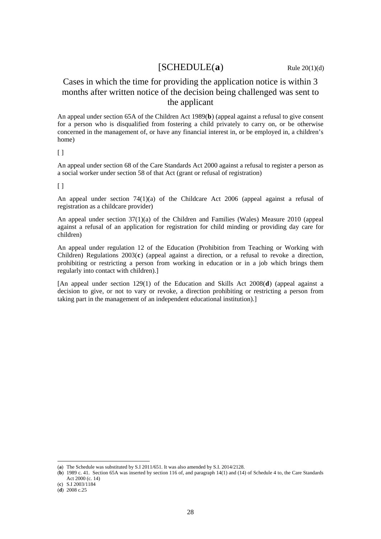# $[SCHEDULE(a)$  $[SCHEDULE(a)$  $[SCHEDULE(a)$  Rule 20(1)(d)

# Cases in which the time for providing the application notice is within 3 months after written notice of the decision being challenged was sent to the applicant

An appeal under section 65A of the Children Act 1989(**[b](#page-27-1)**) (appeal against a refusal to give consent for a person who is disqualified from fostering a child privately to carry on, or be otherwise concerned in the management of, or have any financial interest in, or be employed in, a children's home)

 $\lceil$   $\rceil$ 

An appeal under section 68 of the Care Standards Act 2000 against a refusal to register a person as a social worker under section 58 of that Act (grant or refusal of registration)

 $[ ]$ 

An appeal under section 74(1)(a) of the Childcare Act 2006 (appeal against a refusal of registration as a childcare provider)

An appeal under section 37(1)(a) of the Children and Families (Wales) Measure 2010 (appeal against a refusal of an application for registration for child minding or providing day care for children)

An appeal under regulation 12 of the Education (Prohibition from Teaching or Working with Children) Regulations 2003(**[c](#page-27-2)**) (appeal against a direction, or a refusal to revoke a direction, prohibiting or restricting a person from working in education or in a job which brings them regularly into contact with children).]

[An appeal under section 129(1) of the Education and Skills Act 2008(**[d](#page-27-3)**) (appeal against a decision to give, or not to vary or revoke, a direction prohibiting or restricting a person from taking part in the management of an independent educational institution).]

<span id="page-27-0"></span><sup>(</sup>**a**) The Schedule was substituted by S.I 2011/651. It was also amended by S.I. 2014/2128.

<span id="page-27-1"></span><sup>(</sup>**b**) 1989 c. 41. Section 65A was inserted by section 116 of, and paragraph 14(1) and (14) of Schedule 4 to, the Care Standards Act 2000 (c. 14)

<span id="page-27-2"></span><sup>(</sup>**c**) S.I 2003/1184

<span id="page-27-3"></span><sup>(</sup>**d**) 2008 c.25